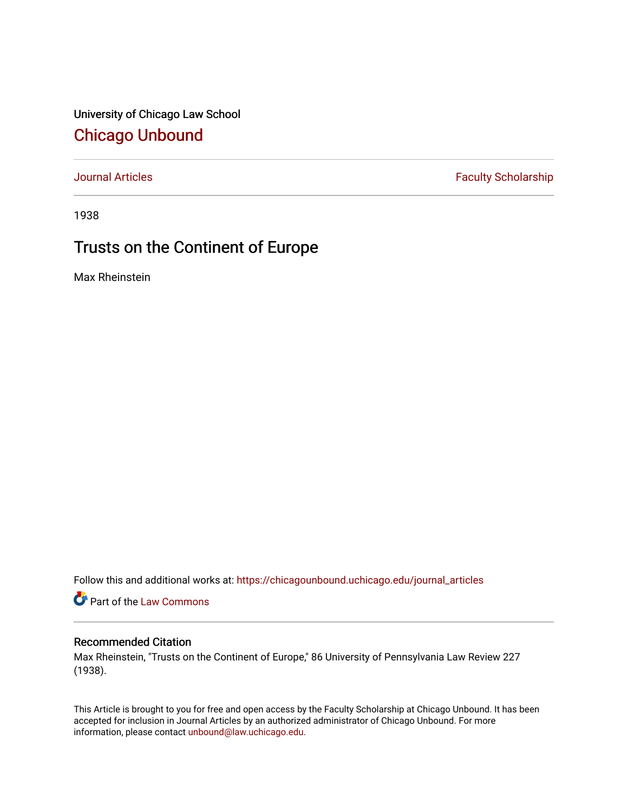University of Chicago Law School [Chicago Unbound](https://chicagounbound.uchicago.edu/)

[Journal Articles](https://chicagounbound.uchicago.edu/journal_articles) **Faculty Scholarship Faculty Scholarship** 

1938

## Trusts on the Continent of Europe

Max Rheinstein

Follow this and additional works at: [https://chicagounbound.uchicago.edu/journal\\_articles](https://chicagounbound.uchicago.edu/journal_articles?utm_source=chicagounbound.uchicago.edu%2Fjournal_articles%2F9563&utm_medium=PDF&utm_campaign=PDFCoverPages) 

Part of the [Law Commons](http://network.bepress.com/hgg/discipline/578?utm_source=chicagounbound.uchicago.edu%2Fjournal_articles%2F9563&utm_medium=PDF&utm_campaign=PDFCoverPages)

## Recommended Citation

Max Rheinstein, "Trusts on the Continent of Europe," 86 University of Pennsylvania Law Review 227 (1938).

This Article is brought to you for free and open access by the Faculty Scholarship at Chicago Unbound. It has been accepted for inclusion in Journal Articles by an authorized administrator of Chicago Unbound. For more information, please contact [unbound@law.uchicago.edu](mailto:unbound@law.uchicago.edu).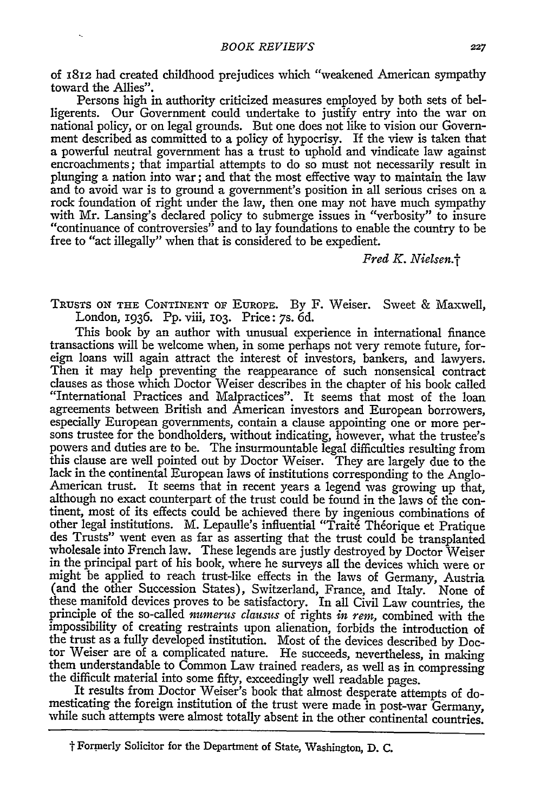of 1812 had created childhood prejudices which "weakened American sympathy toward the Allies".

Persons high in authority criticized measures employed **by** both sets of belligerents. Our Government could undertake to justify entry into the war on national policy, or on legal grounds. But one does not like to vision our Government described as committed to a policy of hypocrisy. If the view is taken that a powerful neutral government has a trust to uphold and vindicate law against encroachments; that impartial attempts to do so must not necessarily result in plunging a nation into war; and that the most effective way to maintain the law and to avoid war is to ground a government's position in all serious crises on a rock foundation of right under the law, then one may not have much sympathy with Mr. Lansing's declared policy to submerge issues in "verbosity" to insure "continuance of controversies" and to lay foundations to enable the country to be free to "act illegally" when that is considered to be expedient.

*Fred K. Nielsen.'*

TRUSTS **ON THE CONTINENT** OF EUROPE. **By** F. Weiser. Sweet & Maxwell, London, 1936. **Pp.** viii, **103.** Price: 7s. **6d.**

This book **by** an author with unusual experience in international finance transactions will be welcome when, in some perhaps not very remote future, foreign loans will again attract the interest of investors, bankers, and lawyers. Then it may help preventing the reappearance of such nonsensical contract clauses as those which Doctor Weiser describes in the chapter of his book called "International Practices and Malpractices". It seems that most of the loan agreements between British and American investors and European borrowers, especially European governments, contain a clause appointing one or more persons trustee for the bondholders, without indicating, however, what the trustee's powers and duties are to be. The insurmountable legal difficulties resulting from this clause are well pointed out **by** Doctor Weiser. They are largely due to the lack in the continental European laws of institutions corresponding to the Anglo-American trust. It seems that in recent years a legend was growing up that, although no exact counterpart of the trust could be found in the laws of the continent, most of its effects could be achieved there **by** ingenious combinations of other legal institutions. M. Lepaulle's influential "Traite Théorique et Pratique des Trusts" went even as far as asserting that the trust could be transplanted wholesale into French law. These legends are justly destroyed **by** Doctor Weiser in the principal part of his book, where he surveys all the devices which were or might be applied to reach trust-like effects in the laws of Germany, Austria (and the other Succession States), Switzerland, France, and Italy. None of these manifold devices proves to be satisfactory. In all Civil Law countries, the principle of the so-called *tumerus clausus* of rights *in rem,* combined with the impossibility of creating restraints upon alienation, forbids the introduction of the trust as a fully developed institution. Most of the devices described **by** Doctor Weiser are of a complicated nature. He succeeds, nevertheless, in making them understandable to Common Law trained readers, as well as in compressing the difficult material into some fifty, exceedingly well readable pages.

It results from Doctor Weiser's book that almost desperate attempts of domesticating the foreign institution of the trust were made in post-war Germany, while such attempts were almost totally absent in the other continental countries.

**t"** Formerly Solicitor for the Department of State, Washington, **D. C.**